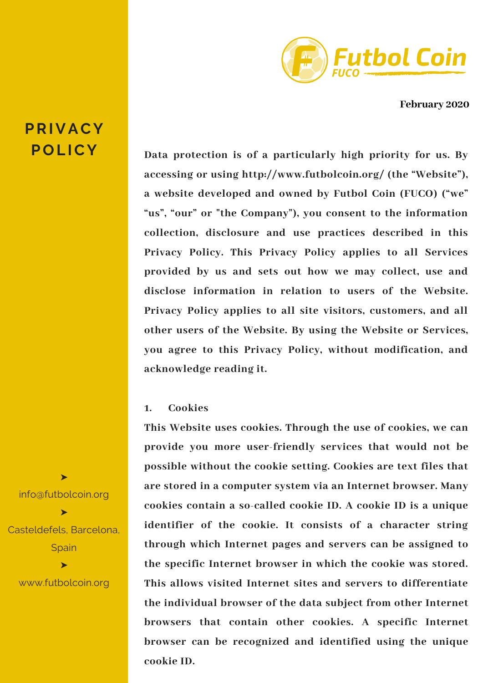

**February 2020**

# **Data protection is of a particularly high priority for us. By accessing or using http://www.futbolcoin.org/ (the "Website"), a website developed and owned by Futbol Coin (FUCO) ("we" "us", "our" or "the Company"), you consent to the information collection, disclosure and use practices described in this Privacy Policy. This Privacy Policy applies to all Services provided by us and sets out how we may collect, use and disclose information in relation to users of the Website. Privacy Policy applies to all site visitors, customers, and all other users of the Website. By using the Website or Services, you agree to this Privacy Policy, without modification, and acknowledge reading it.**

## **1. Cookies**

**This Website uses cookies. Through the use of cookies, we can provide you more user-friendly services that would not be possible without the cookie setting. Cookies are text files that are stored in a computer system via an Internet browser. Many cookies contain a so-called cookie ID. A cookie ID is a unique identifier of the cookie. It consists of a character string through which Internet pages and servers can be assigned to the specific Internet browser in which the cookie was stored. This allows visited Internet sites and servers to differentiate the individual browser of the data subject from other Internet browsers that contain other cookies. A specific Internet browser can be recognized and identified using the unique cookie ID.**

➤ info@futbolcoin.org ➤ Casteldefels, Barcelona, **Spain** ➤ www.futbolcoin.org

# **PRIVACY POL ICY**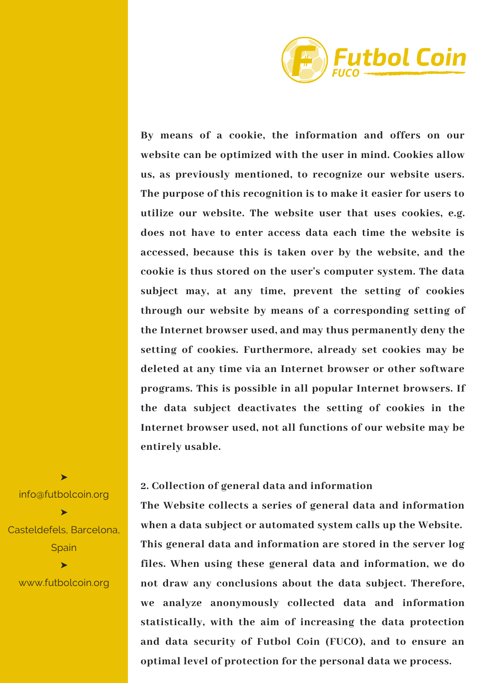

**By means of a cookie, the information and offers on our website can be optimized with the user in mind. Cookies allow us, as previously mentioned, to recognize our website users. The purpose of this recognition is to make it easier for users to utilize our website. The website user that uses cookies, e.g. does not have to enter access data each time the website is accessed, because this is taken over by the website, and the cookie is thus stored on the user's computer system. The data subject may, at any time, prevent the setting of cookies through our website by means of a corresponding setting of the Internet browser used, and may thus permanently deny the setting of cookies. Furthermore, already set cookies may be deleted at any time via an Internet browser or other software programs. This is possible in all popular Internet browsers. If the data subject deactivates the setting of cookies in the Internet browser used, not all functions of our website may be entirely usable.**

#### **2. Collection of general data and information**

**The Website collects a series of general data and information when a data subject or automated system calls up the Website. This general data and information are stored in the server log files. When using these general data and information, we do not draw any conclusions about the data subject. Therefore, we analyze anonymously collected data and information statistically, with the aim of increasing the data protection and data security of Futbol Coin (FUCO), and to ensure an optimal level of protection for the personal data we process.**

info@futbolcoin.org ➤ Casteldefels, Barcelona, **Spain** ➤ www.futbolcoin.org

➤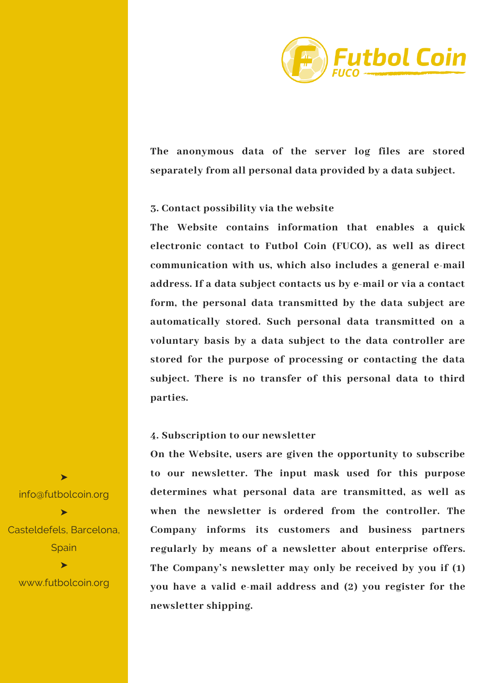

**The anonymous data of the server log files are stored separately from all personal data provided by a data subject.**

### **3. Contact possibility via the website**

**The Website contains information that enables a quick electronic contact to Futbol Coin (FUCO), as well as direct communication with us, which also includes a general e-mail address. If a data subject contacts us by e-mail or via a contact form, the personal data transmitted by the data subject are automatically stored. Such personal data transmitted on a voluntary basis by a data subject to the data controller are stored for the purpose of processing or contacting the data subject. There is no transfer of this personal data to third parties.**

#### **4. Subscription to our newsletter**

**On the Website, users are given the opportunity to subscribe to our newsletter. The input mask used for this purpose determines what personal data are transmitted, as well as when the newsletter is ordered from the controller. The Company informs its customers and business partners regularly by means of a newsletter about enterprise offers. The Company's newsletter may only be received by you if (1) you have a valid e-mail address and (2) you register for the newsletter shipping.**

info@futbolcoin.org ➤ Casteldefels, Barcelona, **Spain** ➤

➤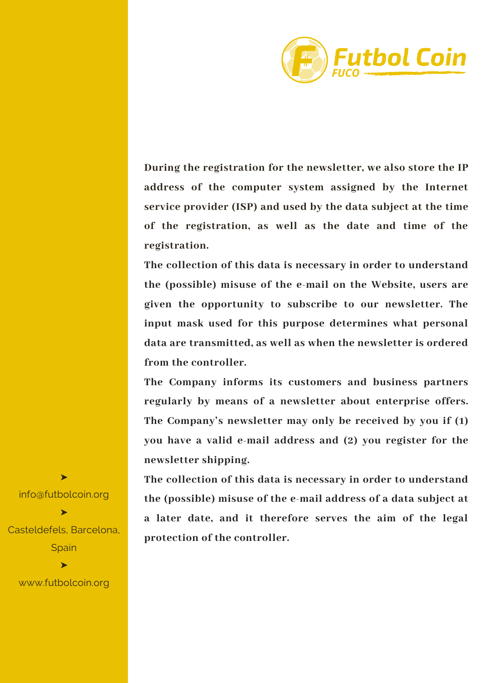

**During the registration for the newsletter, we also store the IP address of the computer system assigned by the Internet service provider (ISP) and used by the data subject at the time of the registration, as well as the date and time of the registration.**

**The collection of this data is necessary in order to understand the (possible) misuse of the e-mail on the Website, users are given the opportunity to subscribe to our newsletter. The input mask used for this purpose determines what personal data are transmitted, as well as when the newsletter is ordered from the controller.**

**The Company informs its customers and business partners regularly by means of a newsletter about enterprise offers. The Company's newsletter may only be received by you if (1) you have a valid e-mail address and (2) you register for the newsletter shipping.**

**The collection of this data is necessary in order to understand the (possible) misuse of the e-mail address of a data subject at a later date, and it therefore serves the aim of the legal protection of the controller.**

info@futbolcoin.org ➤ Casteldefels, Barcelona, **Spain** ➤

➤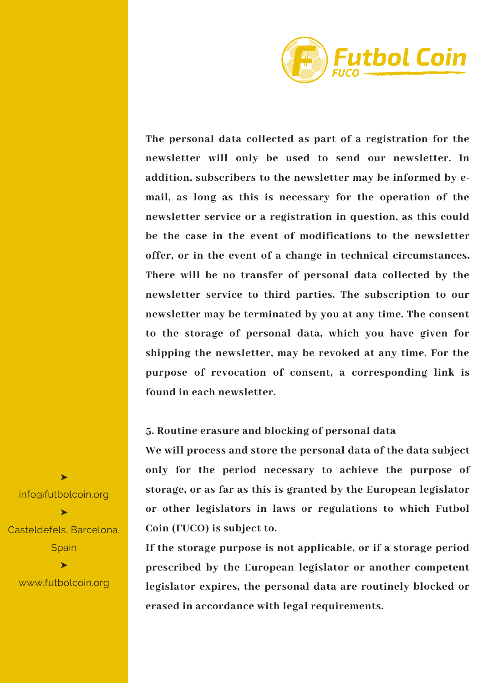

**The personal data collected as part of a registration for the newsletter will only be used to send our newsletter. In addition, subscribers to the newsletter may be informed by email, as long as this is necessary for the operation of the newsletter service or a registration in question, as this could be the case in the event of modifications to the newsletter offer, or in the event of a change in technical circumstances. There will be no transfer of personal data collected by the newsletter service to third parties. The subscription to our newsletter may be terminated by you at any time. The consent to the storage of personal data, which you have given for shipping the newsletter, may be revoked at any time. For the purpose of revocation of consent, a corresponding link is found in each newsletter.**

## **5. Routine erasure and blocking of personal data**

**We will process and store the personal data of the data subject only for the period necessary to achieve the purpose of storage, or as far as this is granted by the European legislator or other legislators in laws or regulations to which Futbol Coin (FUCO) is subject to.**

**If the storage purpose is not applicable, or if a storage period prescribed by the European legislator or another competent legislator expires, the personal data are routinely blocked or erased in accordance with legal requirements.**

info@futbolcoin.org ➤ Casteldefels, Barcelona, **Spain** ➤ www.futbolcoin.org

➤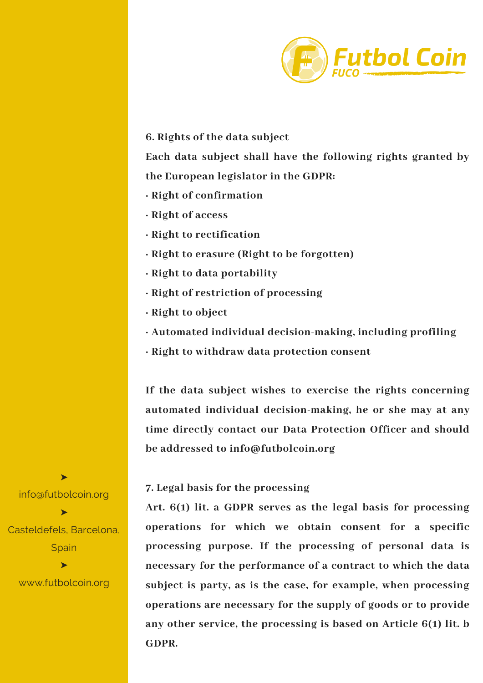

### **6. Rights of the data subject**

**Each data subject shall have the following rights granted by the European legislator in the GDPR:**

- **· Right of confirmation**
- **· Right of access**
- **· Right to rectification**
- **· Right to erasure (Right to be forgotten)**
- **· Right to data portability**
- **· Right of restriction of processing**
- **· Right to object**
- **· Automated individual decision-making, including profiling**
- **· Right to withdraw data protection consent**

**If the data subject wishes to exercise the rights concerning automated individual decision-making, he or she may at any time directly contact our Data Protection Officer and should be addressed to info@futbolcoin.org**

### **7. Legal basis for the processing**

**Art. 6(1) lit. a GDPR serves as the legal basis for processing operations for which we obtain consent for a specific processing purpose. If the processing of personal data is necessary for the performance of a contract to which the data subject is party, as is the case, for example, when processing operations are necessary for the supply of goods or to provide any other service, the processing is based on Article 6(1) lit. b GDPR.**

info@futbolcoin.org ➤ Casteldefels, Barcelona, **Spain** 

➤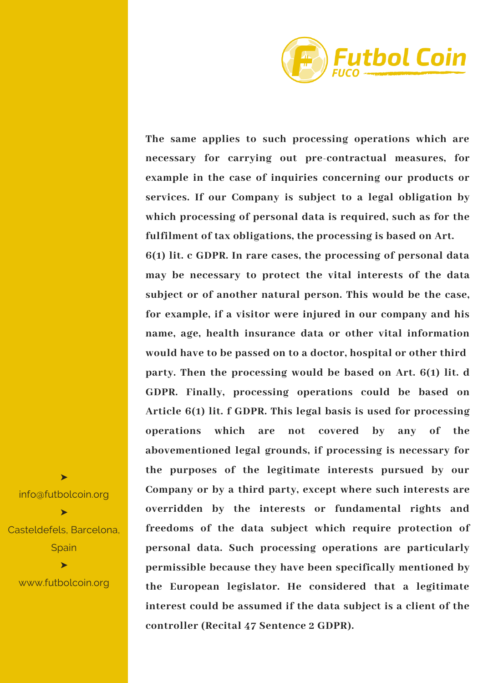

**The same applies to such processing operations which are necessary for carrying out pre-contractual measures, for example in the case of inquiries concerning our products or services. If our Company is subject to a legal obligation by which processing of personal data is required, such as for the fulfilment of tax obligations, the processing is based on Art.**

**6(1) lit. c GDPR. In rare cases, the processing of personal data may be necessary to protect the vital interests of the data subject or of another natural person. This would be the case, for example, if a visitor were injured in our company and his name, age, health insurance data or other vital information would have to be passed on to a doctor, hospital or other third party. Then the processing would be based on Art. 6(1) lit. d GDPR. Finally, processing operations could be based on Article 6(1) lit. f GDPR. This legal basis is used for processing operations which are not covered by any of the abovementioned legal grounds, if processing is necessary for the purposes of the legitimate interests pursued by our Company or by a third party, except where such interests are overridden by the interests or fundamental rights and freedoms of the data subject which require protection of personal data. Such processing operations are particularly permissible because they have been specifically mentioned by the European legislator. He considered that a legitimate interest could be assumed if the data subject is a client of the controller (Recital 47 Sentence 2 GDPR).**

info@futbolcoin.org ➤ Casteldefels, Barcelona, **Spain** ➤ www.futbolcoin.org

➤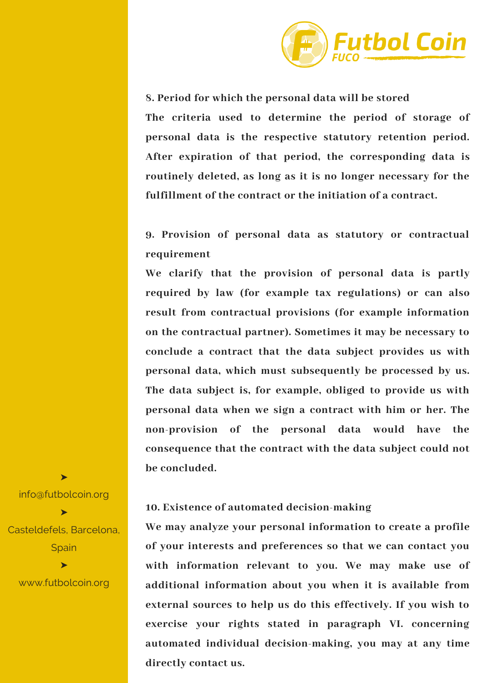

**8. Period for which the personal data will be stored**

**The criteria used to determine the period of storage of personal data is the respective statutory retention period. After expiration of that period, the corresponding data is routinely deleted, as long as it is no longer necessary for the fulfillment of the contract or the initiation of a contract.**

**9. Provision of personal data as statutory or contractual requirement**

**We clarify that the provision of personal data is partly required by law (for example tax regulations) or can also result from contractual provisions (for example information on the contractual partner). Sometimes it may be necessary to conclude a contract that the data subject provides us with personal data, which must subsequently be processed by us. The data subject is, for example, obliged to provide us with personal data when we sign a contract with him or her. The non-provision of the personal data would have the consequence that the contract with the data subject could not be concluded.**

# **10. Existence of automated decision-making**

**We may analyze your personal information to create a profile of your interests and preferences so that we can contact you with information relevant to you. We may make use of additional information about you when it is available from external sources to help us do this effectively. If you wish to exercise your rights stated in paragraph VI. concerning automated individual decision-making, you may at any time directly contact us.**

info@futbolcoin.org ➤ Casteldefels, Barcelona, **Spain** ➤

➤